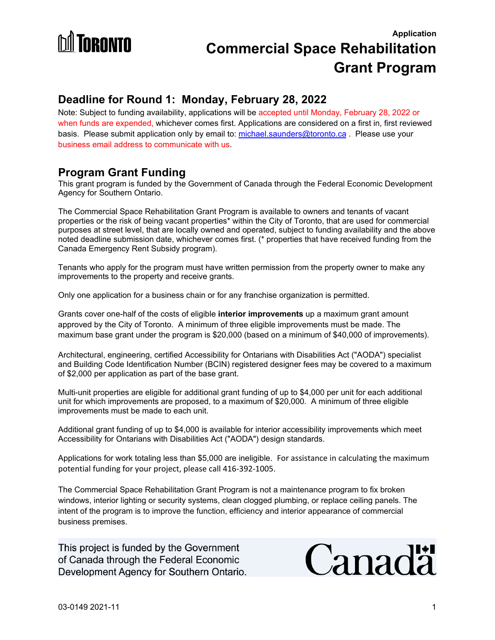

## **Deadline for Round 1: Monday, February 28, 2022**

Note: Subject to funding availability, applications will be accepted until Monday, February 28, 2022 or when funds are expended, whichever comes first. Applications are considered on a first in, first reviewed basis. Please submit application only by email to: [michael.saunders@toronto.ca](mailto:michael.saunders@toronto.ca). Please use vour business email address to communicate with us.

### **Program Grant Funding**

This grant program is funded by the Government of Canada through the Federal Economic Development Agency for Southern Ontario.

The Commercial Space Rehabilitation Grant Program is available to owners and tenants of vacant properties or the risk of being vacant properties\* within the City of Toronto, that are used for commercial purposes at street level, that are locally owned and operated, subject to funding availability and the above noted deadline submission date, whichever comes first. (\* properties that have received funding from the Canada Emergency Rent Subsidy program).

Tenants who apply for the program must have written permission from the property owner to make any improvements to the property and receive grants.

Only one application for a business chain or for any franchise organization is permitted.

Grants cover one-half of the costs of eligible **interior improvements** up a maximum grant amount approved by the City of Toronto. A minimum of three eligible improvements must be made. The maximum base grant under the program is \$20,000 (based on a minimum of \$40,000 of improvements).

Architectural, engineering, certified Accessibility for Ontarians with Disabilities Act ("AODA") specialist and Building Code Identification Number (BCIN) registered designer fees may be covered to a maximum of \$2,000 per application as part of the base grant.

Multi-unit properties are eligible for additional grant funding of up to \$4,000 per unit for each additional unit for which improvements are proposed, to a maximum of \$20,000. A minimum of three eligible improvements must be made to each unit.

Additional grant funding of up to \$4,000 is available for interior accessibility improvements which meet Accessibility for Ontarians with Disabilities Act ("AODA") design standards.

Applications for work totaling less than \$5,000 are ineligible. For assistance in calculating the maximum potential funding for your project, please call 416-392-1005.

The Commercial Space Rehabilitation Grant Program is not a maintenance program to fix broken windows, interior lighting or security systems, clean clogged plumbing, or replace ceiling panels. The intent of the program is to improve the function, efficiency and interior appearance of commercial business premises.

This project is funded by the Government of Canada through the Federal Economic Development Agency for Southern Ontario.

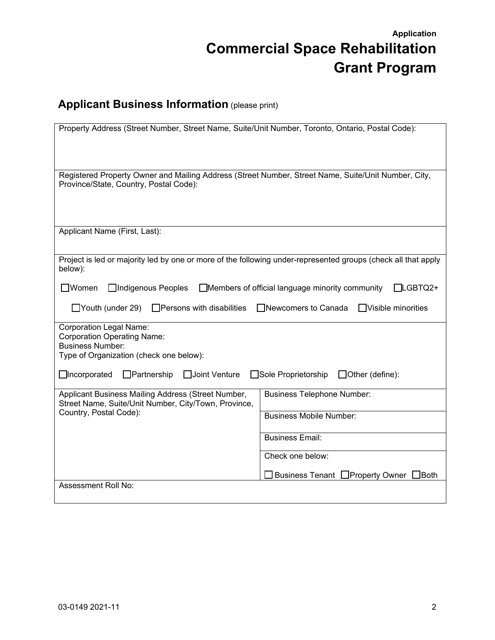# **Applicant Business Information** (please print)

| Property Address (Street Number, Street Name, Suite/Unit Number, Toronto, Ontario, Postal Code):                                                                                                                                          |                                                                        |  |  |  |  |  |
|-------------------------------------------------------------------------------------------------------------------------------------------------------------------------------------------------------------------------------------------|------------------------------------------------------------------------|--|--|--|--|--|
| Registered Property Owner and Mailing Address (Street Number, Street Name, Suite/Unit Number, City,<br>Province/State, Country, Postal Code):                                                                                             |                                                                        |  |  |  |  |  |
| Applicant Name (First, Last):                                                                                                                                                                                                             |                                                                        |  |  |  |  |  |
| Project is led or majority led by one or more of the following under-represented groups (check all that apply<br>below):                                                                                                                  |                                                                        |  |  |  |  |  |
| □Indigenous Peoples<br>$\Box$ Members of official language minority community<br>$\Box$ Women<br>$\Box$ LGBTQ2+<br>$\Box$ Youth (under 29)<br>$\Box$ Persons with disabilities<br>$\Box$ Visible minorities<br>$\Box$ Newcomers to Canada |                                                                        |  |  |  |  |  |
| <b>Corporation Legal Name:</b><br><b>Corporation Operating Name:</b><br><b>Business Number:</b><br>Type of Organization (check one below):                                                                                                |                                                                        |  |  |  |  |  |
| $\Box$ Incorporated<br>□Joint Venture<br>$\Box$ Partnership<br>Sole Proprietorship<br>$\Box$ Other (define):                                                                                                                              |                                                                        |  |  |  |  |  |
| Applicant Business Mailing Address (Street Number,<br>Street Name, Suite/Unit Number, City/Town, Province,<br>Country, Postal Code):                                                                                                      | <b>Business Telephone Number:</b><br><b>Business Mobile Number:</b>    |  |  |  |  |  |
|                                                                                                                                                                                                                                           | <b>Business Email:</b>                                                 |  |  |  |  |  |
|                                                                                                                                                                                                                                           | Check one below:<br>Business Tenant □ Property Owner<br>$\exists$ Both |  |  |  |  |  |
| Assessment Roll No:                                                                                                                                                                                                                       |                                                                        |  |  |  |  |  |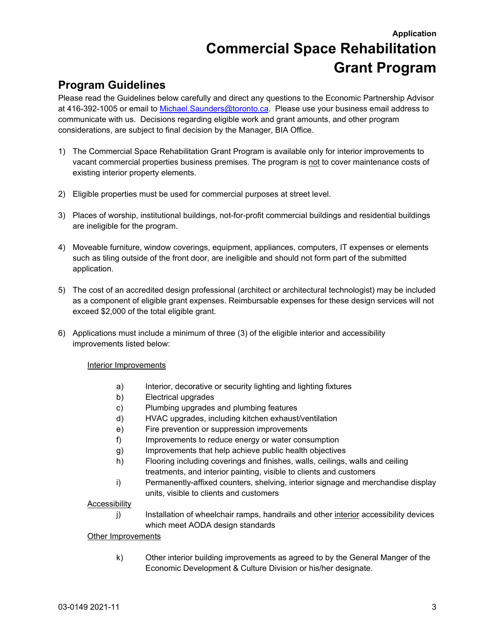## **Program Guidelines**

Please read the Guidelines below carefully and direct any questions to the Economic Partnership Advisor at 416-392-1005 or email to [Michael.Saunders@toronto.ca](mailto:Michael.Saunders@toronto.ca). Please use your business email address to communicate with us. Decisions regarding eligible work and grant amounts, and other program considerations, are subject to final decision by the Manager, BIA Office.

- 1) The Commercial Space Rehabilitation Grant Program is available only for interior improvements to vacant commercial properties business premises. The program is not to cover maintenance costs of existing interior property elements.
- 2) Eligible properties must be used for commercial purposes at street level.
- 3) Places of worship, institutional buildings, not-for-profit commercial buildings and residential buildings are ineligible for the program.
- 4) Moveable furniture, window coverings, equipment, appliances, computers, IT expenses or elements such as tiling outside of the front door, are ineligible and should not form part of the submitted application.
- 5) The cost of an accredited design professional (architect or architectural technologist) may be included as a component of eligible grant expenses. Reimbursable expenses for these design services will not exceed \$2,000 of the total eligible grant.
- 6) Applications must include a minimum of three (3) of the eligible interior and accessibility improvements listed below:

Interior Improvements

- a) Interior, decorative or security lighting and lighting fixtures
- b) Electrical upgrades
- c) Plumbing upgrades and plumbing features
- d) HVAC upgrades, including kitchen exhaust/ventilation
- e) Fire prevention or suppression improvements
- f) Improvements to reduce energy or water consumption
- g) Improvements that help achieve public health objectives
- h) Flooring including coverings and finishes, walls, ceilings, walls and ceiling treatments, and interior painting, visible to clients and customers
- i) Permanently-affixed counters, shelving, interior signage and merchandise display units, visible to clients and customers

#### **Accessibility**

j) Installation of wheelchair ramps, handrails and other interior accessibility devices which meet AODA design standards

#### **Other Improvements**

k) Other interior building improvements as agreed to by the General Manger of the Economic Development & Culture Division or his/her designate.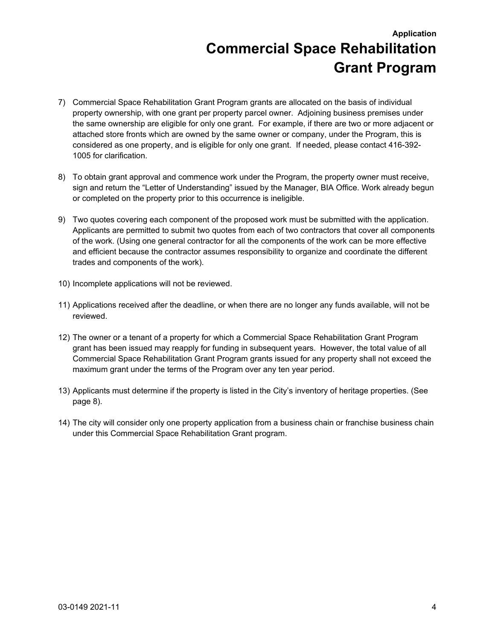- 7) Commercial Space Rehabilitation Grant Program grants are allocated on the basis of individual property ownership, with one grant per property parcel owner. Adjoining business premises under the same ownership are eligible for only one grant. For example, if there are two or more adjacent or attached store fronts which are owned by the same owner or company, under the Program, this is considered as one property, and is eligible for only one grant. If needed, please contact 416-392- 1005 for clarification.
- 8) To obtain grant approval and commence work under the Program, the property owner must receive, sign and return the "Letter of Understanding" issued by the Manager, BIA Office. Work already begun or completed on the property prior to this occurrence is ineligible.
- 9) Two quotes covering each component of the proposed work must be submitted with the application. Applicants are permitted to submit two quotes from each of two contractors that cover all components of the work. (Using one general contractor for all the components of the work can be more effective and efficient because the contractor assumes responsibility to organize and coordinate the different trades and components of the work).
- 10) Incomplete applications will not be reviewed.
- 11) Applications received after the deadline, or when there are no longer any funds available, will not be reviewed.
- 12) The owner or a tenant of a property for which a Commercial Space Rehabilitation Grant Program grant has been issued may reapply for funding in subsequent years. However, the total value of all Commercial Space Rehabilitation Grant Program grants issued for any property shall not exceed the maximum grant under the terms of the Program over any ten year period.
- 13) Applicants must determine if the property is listed in the City's inventory of heritage properties. (See page 8).
- 14) The city will consider only one property application from a business chain or franchise business chain under this Commercial Space Rehabilitation Grant program.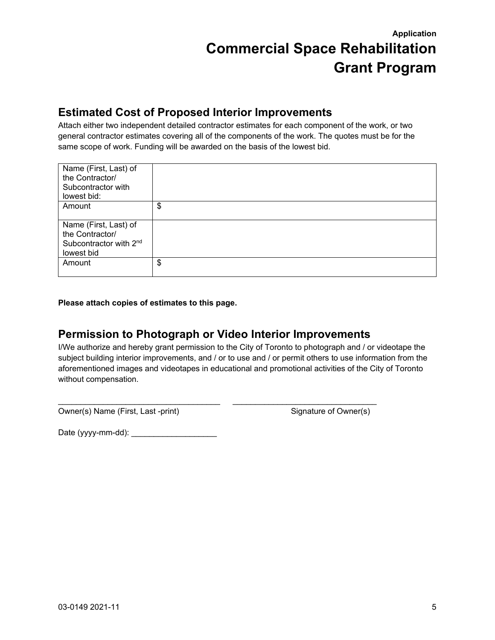## **Estimated Cost of Proposed Interior Improvements**

Attach either two independent detailed contractor estimates for each component of the work, or two general contractor estimates covering all of the components of the work. The quotes must be for the same scope of work. Funding will be awarded on the basis of the lowest bid.

| Name (First, Last) of<br>the Contractor/<br>Subcontractor with<br>lowest bid:                |    |
|----------------------------------------------------------------------------------------------|----|
| Amount                                                                                       | \$ |
| Name (First, Last) of<br>the Contractor/<br>Subcontractor with 2 <sup>nd</sup><br>lowest bid |    |
| Amount                                                                                       | \$ |

**Please attach copies of estimates to this page.**

## **Permission to Photograph or Video Interior Improvements**

\_\_\_\_\_\_\_\_\_\_\_\_\_\_\_\_\_\_\_\_\_\_\_\_\_\_\_\_\_\_\_\_\_\_\_\_ \_\_\_\_\_\_\_\_\_\_\_\_\_\_\_\_\_\_\_\_\_\_\_\_\_\_\_\_\_\_\_\_

I/We authorize and hereby grant permission to the City of Toronto to photograph and / or videotape the subject building interior improvements, and / or to use and / or permit others to use information from the aforementioned images and videotapes in educational and promotional activities of the City of Toronto without compensation.

Owner(s) Name (First, Last -print) Signature of Owner(s)

Date (yyyy-mm-dd): \_\_\_\_\_\_\_\_\_\_\_\_\_\_\_\_\_\_\_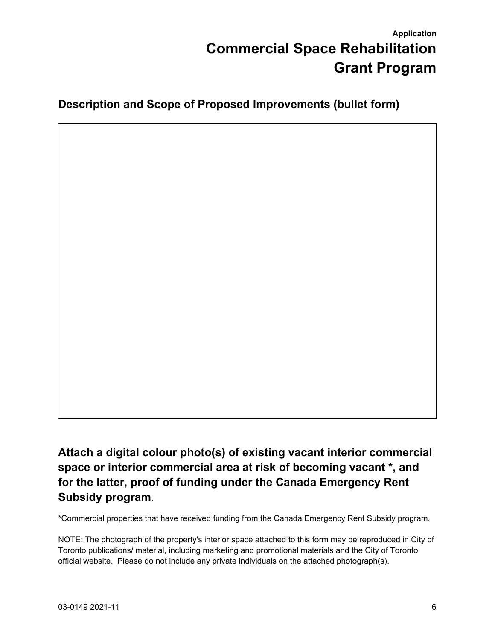**Description and Scope of Proposed Improvements (bullet form)**

<span id="page-5-1"></span>**Attach a digital colour photo(s) of existing vacant interior commercial space or interior commercial area at risk of becoming vacant [\\*,](#page-5-0) and for the latter, proof of funding under the Canada Emergency Rent Subsidy program**.

<span id="page-5-0"></span>[\\*C](#page-5-1)ommercial properties that have received funding from the Canada Emergency Rent Subsidy program.

NOTE: The photograph of the property's interior space attached to this form may be reproduced in City of Toronto publications/ material, including marketing and promotional materials and the City of Toronto official website. Please do not include any private individuals on the attached photograph(s).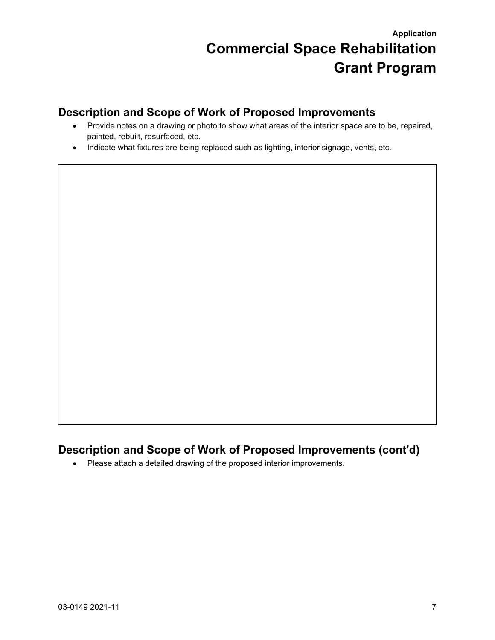## **Description and Scope of Work of Proposed Improvements**

- Provide notes on a drawing or photo to show what areas of the interior space are to be, repaired, painted, rebuilt, resurfaced, etc.
- Indicate what fixtures are being replaced such as lighting, interior signage, vents, etc.

## **Description and Scope of Work of Proposed Improvements (cont'd)**

• Please attach a detailed drawing of the proposed interior improvements.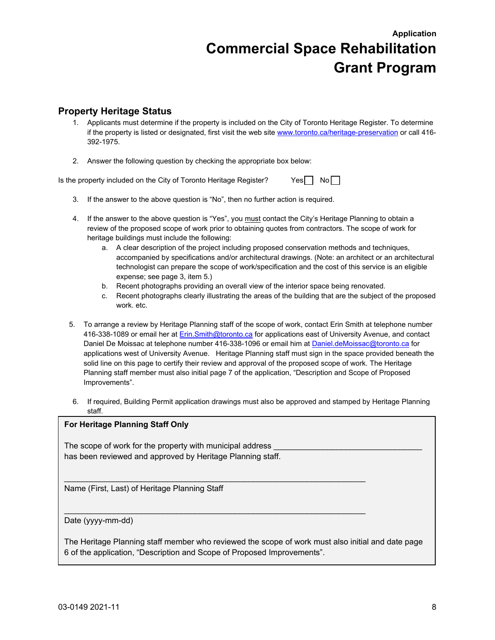#### **Property Heritage Status**

- 1. Applicants must determine if the property is included on the City of Toronto Heritage Register. To determine if the property is listed or designated, first visit the web site [www.toronto.ca/heritage-preservation](http://www.toronto.ca/heritage-preservation) or call 416- 392-1975.
- 2. Answer the following question by checking the appropriate box below:

Is the property included on the City of Toronto Heritage Register?  $Yes \Box \ No \Box$ 

- 3. If the answer to the above question is "No", then no further action is required.
- 4. If the answer to the above question is "Yes", you must contact the City's Heritage Planning to obtain a review of the proposed scope of work prior to obtaining quotes from contractors. The scope of work for heritage buildings must include the following:
	- a. A clear description of the project including proposed conservation methods and techniques, accompanied by specifications and/or architectural drawings. (Note: an architect or an architectural technologist can prepare the scope of work/specification and the cost of this service is an eligible expense; see page 3, item 5.)
	- b. Recent photographs providing an overall view of the interior space being renovated.
	- c. Recent photographs clearly illustrating the areas of the building that are the subject of the proposed work. etc.
- 5. To arrange a review by Heritage Planning staff of the scope of work, contact Erin Smith at telephone number 416-338-1089 or email her at [Erin.Smith@toronto.ca](mailto:Erin.Smith@toronto.ca) for applications east of University Avenue, and contact Daniel De Moissac at telephone number 416-338-1096 or email him at [Daniel.deMoissac@toronto.ca](mailto:Daniel.deMoissac@toronto.ca) for applications west of University Avenue. Heritage Planning staff must sign in the space provided beneath the solid line on this page to certify their review and approval of the proposed scope of work. The Heritage Planning staff member must also initial page 7 of the application, "Description and Scope of Proposed Improvements".
- 6. If required, Building Permit application drawings must also be approved and stamped by Heritage Planning staff.

#### **For Heritage Planning Staff Only**

The scope of work for the property with municipal address has been reviewed and approved by Heritage Planning staff.

Name (First, Last) of Heritage Planning Staff

#### Date (yyyy-mm-dd)

The Heritage Planning staff member who reviewed the scope of work must also initial and date page 6 of the application, "Description and Scope of Proposed Improvements".

\_\_\_\_\_\_\_\_\_\_\_\_\_\_\_\_\_\_\_\_\_\_\_\_\_\_\_\_\_\_\_\_\_\_\_\_\_\_\_\_\_\_\_\_\_\_\_\_\_\_\_\_\_\_\_\_\_\_\_\_\_\_\_\_\_\_\_

 $\mathcal{L}_\mathcal{L} = \{ \mathcal{L}_\mathcal{L} = \{ \mathcal{L}_\mathcal{L} = \{ \mathcal{L}_\mathcal{L} = \{ \mathcal{L}_\mathcal{L} = \{ \mathcal{L}_\mathcal{L} = \{ \mathcal{L}_\mathcal{L} = \{ \mathcal{L}_\mathcal{L} = \{ \mathcal{L}_\mathcal{L} = \{ \mathcal{L}_\mathcal{L} = \{ \mathcal{L}_\mathcal{L} = \{ \mathcal{L}_\mathcal{L} = \{ \mathcal{L}_\mathcal{L} = \{ \mathcal{L}_\mathcal{L} = \{ \mathcal{L}_\mathcal{$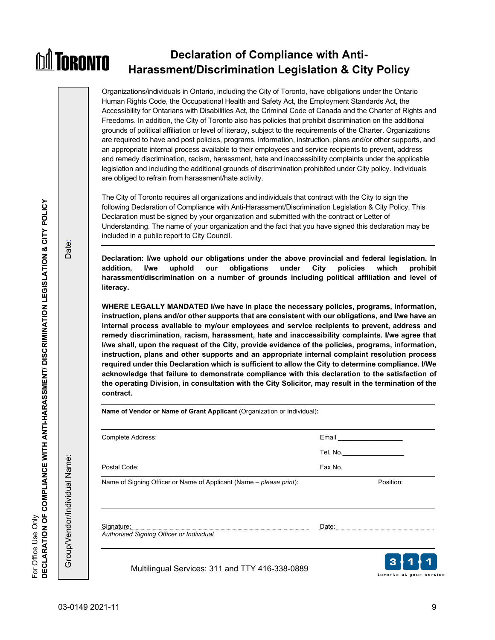#### **Declaration of Compliance with Anti-MI TORONTO Harassment/Discrimination Legislation & City Policy**

Organizations/individuals in Ontario, including the City of Toronto, have obligations under the Ontario Human Rights Code, the Occupational Health and Safety Act, the Employment Standards Act, the Accessibility for Ontarians with Disabilities Act, the Criminal Code of Canada and the Charter of Rights and Freedoms. In addition, the City of Toronto also has policies that prohibit discrimination on the additional grounds of political affiliation or level of literacy, subject to the requirements of the Charter. Organizations are required to have and post policies, programs, information, instruction, plans and/or other supports, and an appropriate internal process available to their employees and service recipients to prevent, address and remedy discrimination, racism, harassment, hate and inaccessibility complaints under the applicable legislation and including the additional grounds of discrimination prohibited under City policy. Individuals are obliged to refrain from harassment/hate activity.

The City of Toronto requires all organizations and individuals that contract with the City to sign the following Declaration of Compliance with Anti-Harassment/Discrimination Legislation & City Policy. This Declaration must be signed by your organization and submitted with the contract or Letter of Understanding. The name of your organization and the fact that you have signed this declaration may be included in a public report to City Council.

**Declaration: I/we uphold our obligations under the above provincial and federal legislation. In addition, I/we uphold our obligations under City policies which prohibit harassment/discrimination on a number of grounds including political affiliation and level of literacy.**

**WHERE LEGALLY MANDATED I/we have in place the necessary policies, programs, information, instruction, plans and/or other supports that are consistent with our obligations, and I/we have an internal process available to my/our employees and service recipients to prevent, address and remedy discrimination, racism, harassment, hate and inaccessibility complaints. I/we agree that I/we shall, upon the request of the City, provide evidence of the policies, programs, information, instruction, plans and other supports and an appropriate internal complaint resolution process required under this Declaration which is sufficient to allow the City to determine compliance. I/We acknowledge that failure to demonstrate compliance with this declaration to the satisfaction of the operating Division, in consultation with the City Solicitor, may result in the termination of the contract.**

| Complete Address:                                                   |          | Email <b>Exercise Service Service Service</b> Service Service Service Service Service Service Service Service Service |  |
|---------------------------------------------------------------------|----------|-----------------------------------------------------------------------------------------------------------------------|--|
|                                                                     | Tel. No. |                                                                                                                       |  |
| Postal Code:                                                        | Fax No.  |                                                                                                                       |  |
| Name of Signing Officer or Name of Applicant (Name - please print): |          | Position:                                                                                                             |  |
| Signature:                                                          | Date:    |                                                                                                                       |  |

Multilingual Services: 311 and TTY 416-338-0889



Group/Vendor/Individual Name: Date:

Group/Vendor/Individual Name:

Date: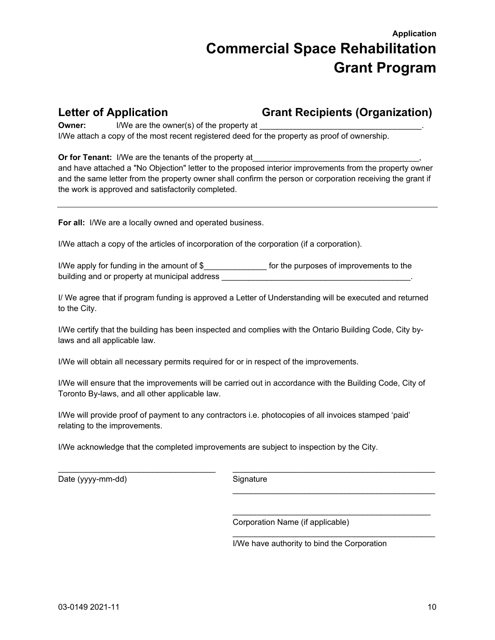**Letter of Application Grant Recipients (Organization)**

**Owner:** I/We are the owner(s) of the property at I/We attach a copy of the most recent registered deed for the property as proof of ownership.

**Or for Tenant:** I/We are the tenants of the property at

and have attached a "No Objection" letter to the proposed interior improvements from the property owner and the same letter from the property owner shall confirm the person or corporation receiving the grant if the work is approved and satisfactorily completed.

**For all:** I/We are a locally owned and operated business.

I/We attach a copy of the articles of incorporation of the corporation (if a corporation).

I/We apply for funding in the amount of \$\_\_\_\_\_\_\_\_\_\_\_\_\_\_ for the purposes of improvements to the building and or property at municipal address

I/ We agree that if program funding is approved a Letter of Understanding will be executed and returned to the City.

I/We certify that the building has been inspected and complies with the Ontario Building Code, City bylaws and all applicable law.

I/We will obtain all necessary permits required for or in respect of the improvements.

I/We will ensure that the improvements will be carried out in accordance with the Building Code, City of Toronto By-laws, and all other applicable law.

I/We will provide proof of payment to any contractors i.e. photocopies of all invoices stamped 'paid' relating to the improvements.

I/We acknowledge that the completed improvements are subject to inspection by the City.

Date (yyyy-mm-dd) Signature

\_\_\_\_\_\_\_\_\_\_\_\_\_\_\_\_\_\_\_\_\_\_\_\_\_\_\_\_\_\_\_\_\_\_\_ \_\_\_\_\_\_\_\_\_\_\_\_\_\_\_\_\_\_\_\_\_\_\_\_\_\_\_\_\_\_\_\_\_\_\_\_\_\_\_\_\_\_\_\_\_  $\frac{1}{\sqrt{2}}$  ,  $\frac{1}{\sqrt{2}}$  ,  $\frac{1}{\sqrt{2}}$  ,  $\frac{1}{\sqrt{2}}$  ,  $\frac{1}{\sqrt{2}}$  ,  $\frac{1}{\sqrt{2}}$  ,  $\frac{1}{\sqrt{2}}$  ,  $\frac{1}{\sqrt{2}}$  ,  $\frac{1}{\sqrt{2}}$  ,  $\frac{1}{\sqrt{2}}$  ,  $\frac{1}{\sqrt{2}}$  ,  $\frac{1}{\sqrt{2}}$  ,  $\frac{1}{\sqrt{2}}$  ,  $\frac{1}{\sqrt{2}}$  ,  $\frac{1}{\sqrt{2}}$ 

 $\frac{1}{\sqrt{2}}$  , and the contract of the contract of the contract of the contract of the contract of the contract of the contract of the contract of the contract of the contract of the contract of the contract of the contra

 $\overline{\phantom{a}}$  , which is a set of the set of the set of the set of the set of the set of the set of the set of the set of the set of the set of the set of the set of the set of the set of the set of the set of the set of th

Corporation Name (if applicable)

I/We have authority to bind the Corporation